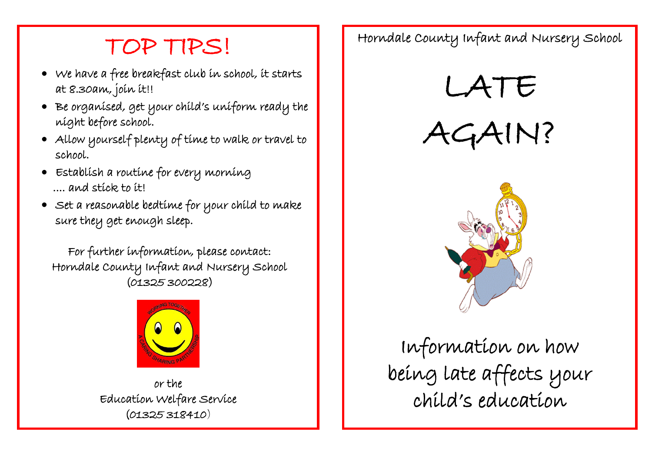## TOP TIPS!

- We have a free breakfast club in school, it starts at 8.30am, join it!!
- Be organised, get your child's uniform ready the night before school.
- Allow yourself plenty of time to walk or travel to school.
- Establish a routine for every morning .... and stick to it!
- $\bullet\;$  set a reasonable bedtime for your child to make sure they get enough sleep.

For further information, please contact: Horndale County Infant and Nursery School (01325 300228)



or the Education Welfare Service (01325 318410)

Horndale County Infant and Nursery School





Information on how being late affects your child's education